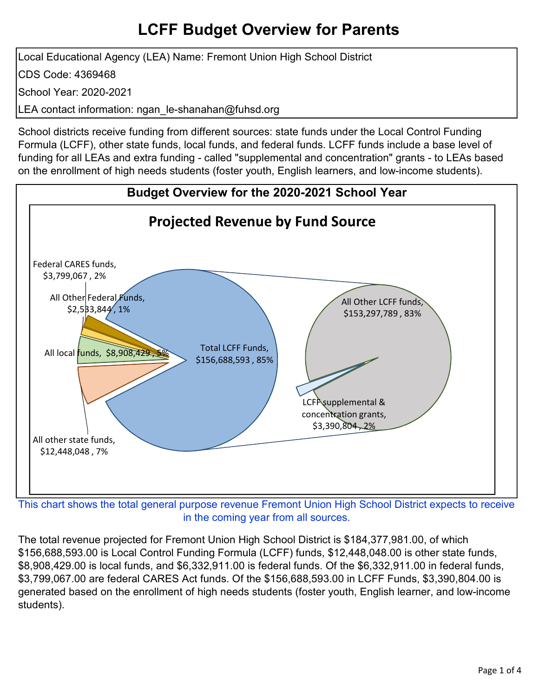Local Educational Agency (LEA) Name: Fremont Union High School District CDS Code: 4369468 School Year: 2020-2021 LEA contact information: ngan le-shanahan@fuhsd.org

School districts receive funding from different sources: state funds under the Local Control Funding Formula (LCFF), other state funds, local funds, and federal funds. LCFF funds include a base level of funding for all LEAs and extra funding - called "supplemental and concentration" grants - to LEAs based on the enrollment of high needs students (foster youth, English learners, and low-income students).



in the coming year from all sources.

The total revenue projected for Fremont Union High School District is \$184,377,981.00, of which \$156,688,593.00 is Local Control Funding Formula (LCFF) funds, \$12,448,048.00 is other state funds, \$8,908,429.00 is local funds, and \$6,332,911.00 is federal funds. Of the \$6,332,911.00 in federal funds, \$3,799,067.00 are federal CARES Act funds. Of the \$156,688,593.00 in LCFF Funds, \$3,390,804.00 is generated based on the enrollment of high needs students (foster youth, English learner, and low-income students).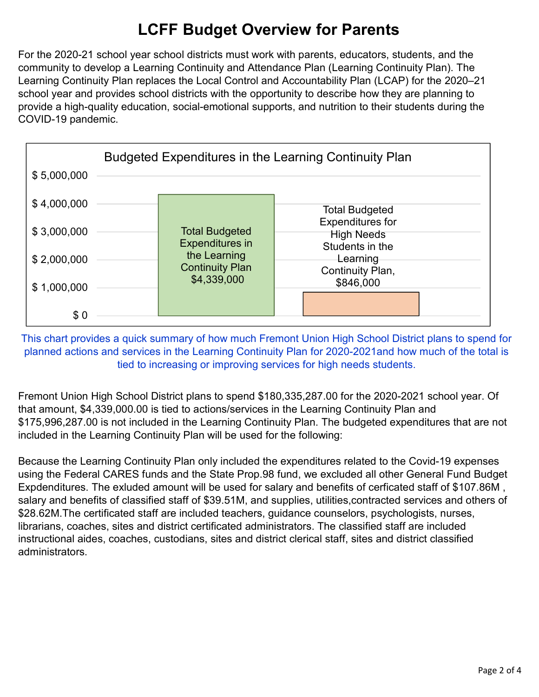For the 2020-21 school year school districts must work with parents, educators, students, and the community to develop a Learning Continuity and Attendance Plan (Learning Continuity Plan). The Learning Continuity Plan replaces the Local Control and Accountability Plan (LCAP) for the 2020–21 school year and provides school districts with the opportunity to describe how they are planning to provide a high-quality education, social-emotional supports, and nutrition to their students during the COVID-19 pandemic.



This chart provides a quick summary of how much Fremont Union High School District plans to spend for planned actions and services in the Learning Continuity Plan for 2020-2021and how much of the total is tied to increasing or improving services for high needs students.

Fremont Union High School District plans to spend \$180,335,287.00 for the 2020-2021 school year. Of that amount, \$4,339,000.00 is tied to actions/services in the Learning Continuity Plan and \$175,996,287.00 is not included in the Learning Continuity Plan. The budgeted expenditures that are not included in the Learning Continuity Plan will be used for the following:

Because the Learning Continuity Plan only included the expenditures related to the Covid-19 expenses using the Federal CARES funds and the State Prop.98 fund, we excluded all other General Fund Budget Expdenditures. The exluded amount will be used for salary and benefits of cerficated staff of \$107.86M , salary and benefits of classified staff of \$39.51M, and supplies, utilities,contracted services and others of \$28.62M.The certificated staff are included teachers, guidance counselors, psychologists, nurses, librarians, coaches, sites and district certificated administrators. The classified staff are included instructional aides, coaches, custodians, sites and district clerical staff, sites and district classified administrators.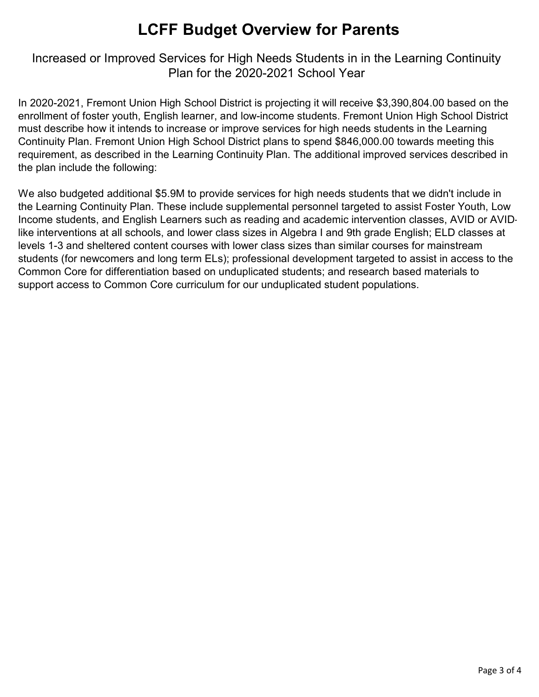Increased or Improved Services for High Needs Students in in the Learning Continuity Plan for the 2020-2021 School Year

In 2020-2021, Fremont Union High School District is projecting it will receive \$3,390,804.00 based on the enrollment of foster youth, English learner, and low-income students. Fremont Union High School District must describe how it intends to increase or improve services for high needs students in the Learning Continuity Plan. Fremont Union High School District plans to spend \$846,000.00 towards meeting this requirement, as described in the Learning Continuity Plan. The additional improved services described in the plan include the following:

We also budgeted additional \$5.9M to provide services for high needs students that we didn't include in the Learning Continuity Plan. These include supplemental personnel targeted to assist Foster Youth, Low Income students, and English Learners such as reading and academic intervention classes, AVID or AVIDlike interventions at all schools, and lower class sizes in Algebra I and 9th grade English; ELD classes at levels 1-3 and sheltered content courses with lower class sizes than similar courses for mainstream students (for newcomers and long term ELs); professional development targeted to assist in access to the Common Core for differentiation based on unduplicated students; and research based materials to support access to Common Core curriculum for our unduplicated student populations.